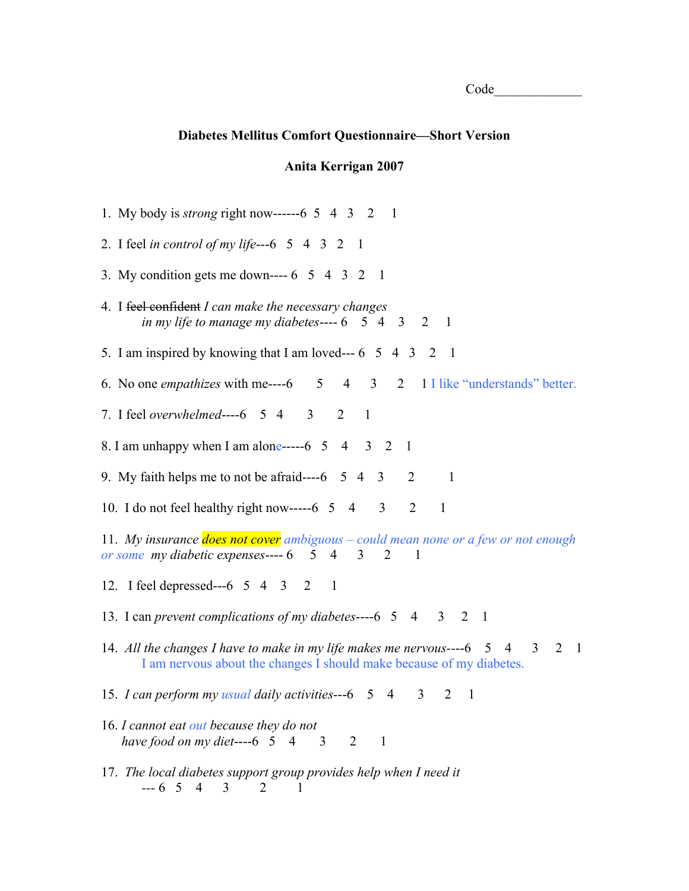| (<br>ാറി <i>e</i><br>◡ |  |  |  |
|------------------------|--|--|--|
|                        |  |  |  |

## **Diabetes Mellitus Comfort Questionnaire—Short Version**

## **Anita Kerrigan 2007**

1. My body is *strong* right now------6 5 4 3 2 1 2. I feel *in control of my life*---6 5 4 3 2 1 3. My condition gets me down---- 6 5 4 3 2 1 4. I feel confident *I can make the necessary changes in my life to manage my diabetes*---- 6 5 4 3 2 1 5. I am inspired by knowing that I am loved--- 6 5 4 3 2 1 6. No one *empathizes* with me----6 5 4 3 2 1 I like "understands" better. 7. I feel *overwhelmed*----6 5 4 3 2 1 8. I am unhappy when I am alone-----6  $\,5\quad 4\quad 3\quad 2\quad 1$ 9. My faith helps me to not be afraid----6  $\,$  5  $\,$  4  $\,$  3  $\,$  2  $\,$  1 10. I do not feel healthy right now-----6  $\,5\,$  4  $\,3\,$  2 1 11. *My insurance does not cover ambiguous – could mean none or a few or not enough or some my diabetic expenses*---- 6 5 4 3 2 1 12. I feel depressed---6 5 4 3 2 1 13. I can *prevent complications of my diabetes*----6 5 4 3 2 1 14. *All the changes I have to make in my life makes me nervous--*--6 5 4 3 2 1 I am nervous about the changes I should make because of my diabetes. 15. *I can perform my usual daily activities-*--6 5 4 3 2 1 16. *I cannot eat out because they do not have food on my diet*----6 5 4 3 2 1 17. *The local diabetes support group provides help when I need it ---* 6 5 4 3 2 1